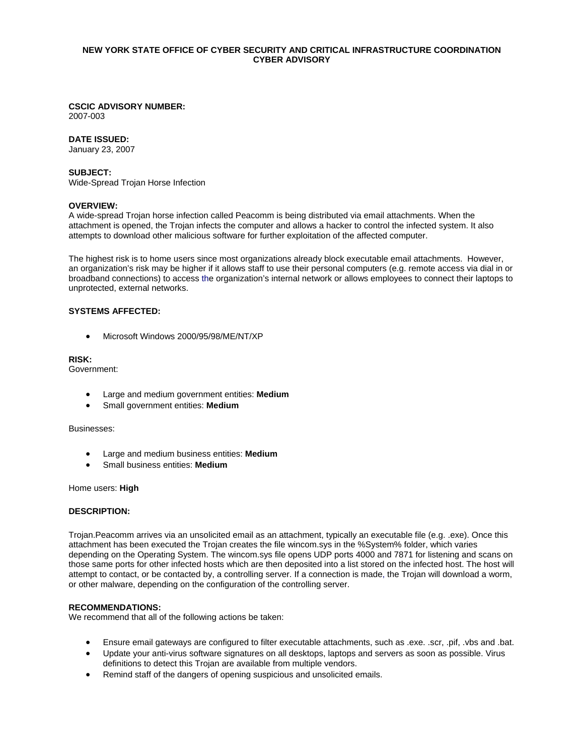## **NEW YORK STATE OFFICE OF CYBER SECURITY AND CRITICAL INFRASTRUCTURE COORDINATION CYBER ADVISORY**

# **CSCIC ADVISORY NUMBER:**

2007-003

### **DATE ISSUED:**

January 23, 2007

# **SUBJECT:**

Wide-Spread Trojan Horse Infection

#### **OVERVIEW:**

A wide-spread Trojan horse infection called Peacomm is being distributed via email attachments. When the attachment is opened, the Trojan infects the computer and allows a hacker to control the infected system. It also attempts to download other malicious software for further exploitation of the affected computer.

The highest risk is to home users since most organizations already block executable email attachments. However, an organization's risk may be higher if it allows staff to use their personal computers (e.g. remote access via dial in or broadband connections) to access the organization's internal network or allows employees to connect their laptops to unprotected, external networks.

# **SYSTEMS AFFECTED:**

• Microsoft Windows 2000/95/98/ME/NT/XP

## **RISK:**

Government:

- Large and medium government entities: **Medium**
- Small government entities: **Medium**

#### Businesses:

- Large and medium business entities: **Medium**
- Small business entities: **Medium**

#### Home users: **High**

## **DESCRIPTION:**

Trojan.Peacomm arrives via an unsolicited email as an attachment, typically an executable file (e.g. .exe). Once this attachment has been executed the Trojan creates the file wincom.sys in the %System% folder, which varies depending on the Operating System. The wincom.sys file opens UDP ports 4000 and 7871 for listening and scans on those same ports for other infected hosts which are then deposited into a list stored on the infected host. The host will attempt to contact, or be contacted by, a controlling server. If a connection is made, the Trojan will download a worm, or other malware, depending on the configuration of the controlling server.

#### **RECOMMENDATIONS:**

We recommend that all of the following actions be taken:

- Ensure email gateways are configured to filter executable attachments, such as .exe. .scr, .pif, .vbs and .bat.
- Update your anti-virus software signatures on all desktops, laptops and servers as soon as possible. Virus definitions to detect this Trojan are available from multiple vendors.
- Remind staff of the dangers of opening suspicious and unsolicited emails.